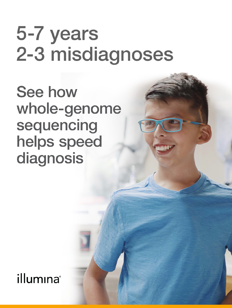# 5-7 years 2-3 misdiagnoses

**See how** whole-genome sequencing helps speed diagnosis

illumına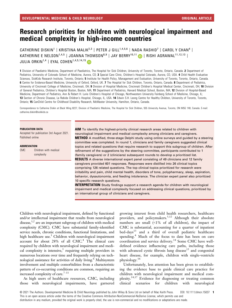# Research priorities for children with neurological impairment and medical complexity in high-income countries

CATHERINE DISKIN<sup>1</sup> | KRISTINA MALIK<sup>2,3</sup> | PETER J GILL<sup>1,4,5,6</sup> | NADA RASHID<sup>7</sup> | CAROL Y CHAN<sup>4</sup> | KATHERINE E NELSON<sup>1,4,5</sup> | JOANNA THOMSON<sup>8,9</sup> | JAY BERRY<sup>10,11</sup> | RISHI AGRAWAL<sup>11,12,13</sup> | JULIA ORKIN<sup>1,4</sup> | EYAL COHEN<sup>1,4,5,14,15</sup>

1 Division of Paediatric Medicine, Department of Paediatrics, The Hospital for Sick Children, University of Toronto, Toronto, Ontario, Canada, 2 Department of Pediatrics, University of Colorado School of Medicine, Aurora, CO; 3 Special Care Clinic, Children's Hospital Colorado, Aurora, CO, USA. 4 Child Health Evaluative Sciences, SickKids Research Institute, Toronto, Ontario; 5 Institute for Health Policy, Management and Evaluation, University of Toronto, Toronto, Ontario, Canada. 6 Centre for Evidence-Based Medicine, University of Oxford, Oxford, UK. 7 The Hospital for Sick Children, Toronto, Ontario, Canada. 8 Department of Pediatrics, University of Cincinnati College of Medicine, Cincinnati, OH; 9 Division of Hospital Medicine, Cincinnati Children's Hospital Medical Center, Cincinnati, OH; 10 Division of General Pediatrics, Children's Hospital Boston, Boston, MA; 11 Department of Pediatrics, Harvard Medical School, Boston, MA; 12 Division of Hospital-Based Medicine, Department of Pediatrics, Ann & Robert H. Lurie Children's Hospital of Chicago, Northwestern University Feinberg School of Medicine, Chicago, IL; 13 Section of Chronic Disease, La Rabida Children's Hospital, Chicago, IL, USA. 14 Edwin S.H. Leong Centre for Healthy Children, University of Toronto, Toronto, Ontario; 15 CanChild Centre for Childhood Disability Research, McMaster University, Hamilton, Ontario, Canada.

Correspondence to Catherine Diskin at Black Wing 8227, Division of Paediatric Medicine, The Hospital for Sick Children, 555 University Avenue, Toronto, ON M5G 1X8, Canada. E-mail: [catherine.diskin@sickkids.ca](mailto:)

#### PUBLICATION DATA

Accepted for publication 3rd August 2021. Published online

**ABBREVIATION** 

CMC Children with medical complexity

AIM To identify the highest-priority clinical research areas related to children with neurological impairment and medical complexity among clinicians and caregivers. **METHOD** A modified, three-stage Delphi study using online surveys and guided by a steering committee was completed. In round 1, clinicians and family caregivers suggested clinical topics and related questions that require research to support this subgroup of children. After refinement of the suggestions by the steering committee, participants contributed to 1 (family caregivers) or 2 (clinicians) subsequent rounds to develop a prioritized list. **RESULTS** A diverse international expert panel consisting of 49 clinicians and 12 family caregivers provided 601 responses. Responses were distilled into 26 clinical topics comprising 126 related questions. The top clinical topics prioritized for research were irritability and pain, child mental health, disorders of tone, polypharmacy, sleep, aspiration, behavior, dysautonomia, and feeding intolerance. The clinician expert panel also prioritized 10 specific research questions.

**INTERPRETATION** Study findings support a research agenda for children with neurological impairment and medical complexity focused on addressing clinical questions, prioritized by an international group of clinicians and caregivers.

Children with neurological impairment, defined by functional and/or intellectual impairment that results from neurological disease, $^{1,2}$  are an important subgroup of children with medical complexity (CMC). CMC have substantial family-identified service needs, chronic conditions, functional limitations, and high healthcare use.<sup>3</sup> Children with neurological impairment account for about 28% of all CMC.<sup>4</sup> The clinical care required by children with neurological impairment and medical complexity is intensive, $5$  requiring multiple providers in numerous locations over time and frequently relying on technological assistance for activities of daily living.<sup>6</sup> Multisystem involvement and multiple comorbidities from a characteristic pattern of co-occurring conditions are common, requiring an increased complexity of care.<sup>7–11</sup>

As high users of healthcare resources, CMC, including those with neurological impairments, have garnered

growing interest from child health researchers, healthcare providers, and policymakers.<sup>5,12</sup> Although their absolute numbers are small (<1% of all children), the impact of CMC is substantial, accounting for a quarter of inpatient bed-days<sup>13</sup> and a third of overall pediatric healthcare spending.4 Much of the focus to date has been on care coordination and service delivery.<sup>14</sup> Some CMC have welldefined evidence influencing care paths, including those with advanced cystic fibrosis lung disease<sup>15</sup> and congenital heart disease, for example, children with single-ventricle physiology.<sup>16</sup>

Unfortunately, less attention has been given to establishing the evidence base to guide clinical care practice for children with neurological impairment and medical complexity.14,17 Evidence for diagnosing or treating common clinical scenarios for children with neurological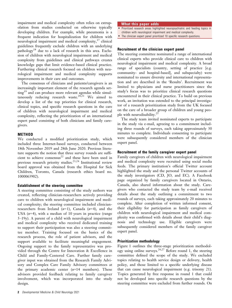impairment and medical complexity often relies on extrapolation from studies conducted on otherwise typically developing children. For example, while pneumonia is a frequent indication for hospitalization for children with neurological impairment and medical complexity, $17$  clinical guidelines frequently exclude children with an underlying pathology<sup>18</sup> due to a lack of research in this area. Exclusion of children with neurological impairment and medical complexity from guidelines and clinical pathways creates knowledge gaps that limit evidence-based clinical practice. Furthering clinical research focused on children with neurological impairment and medical complexity supports improvements in their care and outcomes.

The consensus of clinicians and patients/caregivers is an increasingly important element of the research agenda setting<sup>19</sup> and can produce more relevant agendas while simultaneously reducing research waste.<sup>20,21</sup> We aimed to develop a list of the top priorities for clinical research, clinical topics, and specific research questions in the care of children with neurological impairment and medical complexity, reflecting the prioritization of an international expert panel consisting of both clinicians and family caregivers.

### METHOD

We conducted a modified prioritization study, which included three Internet-based surveys, conducted between 18th November 2019 and 28th June 2020. Previous literature supports the notion that three survey rounds are sufficient to achieve consensus<sup>22</sup> and these have been used in previous research priority studies.<sup>23,24</sup> Institutional review board approval was obtained from the Hospital for Sick Children, Toronto, Canada (research ethics board no. 1000063902).

#### Establishment of the steering committee

A steering committee consisting of the study authors was created, reflecting clinician-researchers actively providing care to children with neurological impairment and medical complexity; the steering committee included clinicianresearchers from Ireland  $(n=1)$ , Canada  $(n=4)$ , and the USA  $(n=4)$ , with a median of 10 years in practice (range 5–19y). A parent of a child with neurological impairment and medical complexity who received dedicated training to support their participation was also a steering committee member. Training focused on the basics of the research process, the role of patient advisors, and the support available to facilitate meaningful engagement. Ongoing support to the family representative was provided through the Centre for Innovation & Excellence in Child and Family-Centered Care. Further family caregiver input was obtained from the Research Family Advisory and Complex Care Family Advisory committees at the primary academic center  $(n=14$  members). These advisors provided feedback relating to family caregiver involvement, which was incorporated into the study design.

#### What this paper adds

- Prioritized research areas highlighted neuropsychiatric and feeding topics in
- children with neurological impairment and medical complexity. • The clinician expert panel prioritized 10 specific research questions.

#### Recruitment of the clinician expert panel

The steering committee nominated a range of international clinical experts who provide clinical care to children with neurological impairment and medical complexity. A broad range of specialists (country, setting of practice [e.g. community- and hospital-based], and subspecialty) were nominated to ensure diversity and international representation and are described in the 'Results'. Recruitment was limited to physicians and nurse practitioners since the study's focus was to prioritize clinical research questions encountered in their clinical practice. To build on previous work, an invitation was extended to the principal investigator of a research prioritization study from the UK focused on the care of a broader group of children and young people with neurodisability.<sup>21</sup>

The study team invited nominated experts to participate in the study via e-mail, agreeing to a commitment including three rounds of surveys, each taking approximately 30 minutes to complete. Individuals consenting to participate were subsequently considered members of the clinician expert panel.

#### Recruitment of the family caregiver expert panel

Family caregivers of children with neurological impairment and medical complexity were recruited using social media feeds. The primary institution's official Twitter account highlighted the study and the personal Twitter accounts of the study investigators (CD, JO, and EC). A Facebook page organized by family caregivers located in Ontario, Canada, also shared information about the study. Caregivers who contacted the study team by e-mail received details about the study outlining a commitment to two rounds of surveys, each taking approximately 20 minutes to complete. After completion of written informed consent, their eligibility for participation as family caregivers of children with neurological impairment and medical complexity was confirmed with details about their child's diagnosis and technology use. Eligible caregivers were subsequently considered members of the family caregiver expert panel.

#### Prioritization methodology

Figure 1 outlines the three-stage prioritization methodology using online surveys.<sup>26,27</sup> Before round 1, the steering committee defined the scope of the study. We excluded topics relating to health service design or delivery, health policy, and those limited to a specific underlying disease that can cause neurological impairment (e.g. trisomy 21). Topics generated by free response in round 1 that could not be developed into specific research questions by the steering committee were excluded from further rounds. On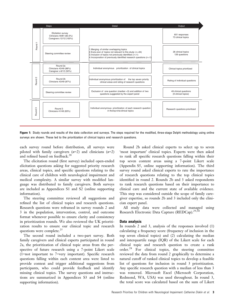

Figure 1: Study rounds and results of the data collection and surveys. The steps required for the modified, three-stage Delphi methodology using online surveys are shown. These led to the prioritization of clinical topics and research questions.

each survey round before distribution, all surveys were piloted with family caregivers  $(n=2)$  and clinicians  $(n=2)$ and refined based on feedback.<sup>28</sup>

The elicitation round (first survey) included open-ended elicitation questions asking for suggested priority research areas, clinical topics, and specific questions relating to the clinical care of children with neurological impairment and medical complexity. A similar survey with modified language was distributed to family caregivers. Both surveys are included as Appendices S1 and S2 (online supporting information).

The steering committee reviewed all suggestions and refined the list of clinical topics and research questions. Research questions were reframed in survey rounds 2 and 3 in the population, intervention, control, and outcome format whenever possible to ensure clarity and consistency in prioritization rounds. We also reviewed the UK prioritization results to ensure our clinical topic and research questions were complete. $25$ 

The second round included a two-part survey. Both family caregivers and clinical experts participated in round 2a, the prioritization of clinical topic areas from the perspective of future research using a 7-point Likert scale (1=not important to 7=very important). Specific research questions falling within each content area were listed to provide context and trigger additional suggestions from participants, who could provide feedback and identify missing clinical topics. The survey questions and instructions are summarized in Appendices S3 and S4 (online supporting information).

Round 2b asked clinical experts to select up to seven 'most important' clinical topics. Experts were then asked to rank all specific research questions falling within their top seven content areas using a 7-point Likert scale (Appendix S5, online supporting information). The third survey round asked clinical experts to rate the importance of research questions relating to the top clinical topics identified in round 2. Rounds 2b and 3 asked respondents to rank research questions based on their importance to clinical care and the current state of available evidence. This step was considered outside the scope of family caregiver expertise, so rounds 2b and 3 included only the clinician expert panel.

All study data were collected and managed using Research Electronic Data Capture (REDCap).<sup>29,30</sup>

#### Data analysis

In rounds 2 and 3, analysis of the responses involved (1) calculating a frequency score (frequency of inclusion in the top seven clinical topics) and (2) calculating the median and interquartile range (IQR) of the Likert scale for each clinical topic and research question to create a rank order.28 For clinical topics, the steering committee reviewed the data from round 2 graphically to determine a natural cutoff of ranked clinical topics to develop a feasible list of questions for inclusion in round 3 prioritization. Any specific research question with a median of less than 3 was removed. Microsoft Excel (Microsoft Corporation, Redmond, WA, USA) was used throughout. In round 3, the total score was calculated based on the sum of Likert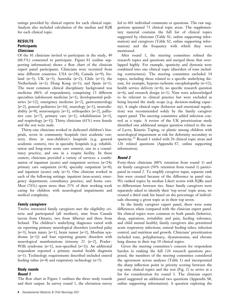ratings provided by clinical experts for each clinical topic. Analysis also included calculation of the median and IQR for each clinical topic.

# RESULTS **Participants Clinicians**

Of the 81 clinicians invited to participate in the study, 49 (60.5%) consented to participate. Figure S1 (online supporting information) shows a flow chart of the clinician expert panel participants. Clinicians were recruited from nine different countries: USA  $(n=28)$ ; Canada  $(n=9)$ ; Ireland  $(n=3)$ ; UK  $(n=3)$ ; Australia  $(n=2)$ ; Chile  $(n=1)$ ; the Netherlands  $(n=1)$ ; Hong Kong  $(n=1)$ ; and Spain  $(n=1)$ . The most common clinical disciplinary background was medicine (86% of respondents), comprising 13 different specialties (adolescent medicine [n=1], developmental pediatrics  $[n=12]$ , emergency medicine  $[n=2]$ , gastroenterology  $[n=2]$ , general pediatrics  $[n=16]$ , neurology  $[n=1]$ , neurodisability  $[n=8]$ , neurosurgery  $[n=1]$ , orthopedics  $[n=2]$ , palliative care  $[n=7]$ , primary care  $[n=1]$ , rehabilitation  $[n=1]$ , and respirology  $[n=1]$ ). Thirty clinicians (61%) were female and the rest were male.

Thirty-one clinicians worked in dedicated children's hospitals, seven in community hospitals (not academic centers), three in non-children's hospitals (e.g. general academic centers), two in specialty hospitals (e.g. rehabilitation and long-term acute care centers), one in a consultancy practice, and one in a respite facility. In these centers, clinicians provided a variety of services: a combination of inpatient (acute) and outpatient services  $(n=24)$ ; primary care outpatient  $(n=8)$ ; specialty outpatient  $(n=8)$ ; and inpatient (acute) only  $(n=3)$ . One clinician worked in each of the following settings: inpatient (non-acute); emergency department; consultancy practice; and home care. Most (76%) spent more than 25% of their working week caring for children with neurological impairments and medical complexity.

#### Family caregivers

Twelve interested family caregivers met the eligibility criteria and participated (all mothers), nine from Canada (seven from Ontario, two from Alberta) and three from Ireland. The children's underlying diagnoses varied with six reporting primary neurological disorders (cerebral palsy [ $n=3$ ], brain injury [ $n=1$ ], brain tumor [ $n=1$ ], Moebius syndrome  $[n=1]$  and four reporting genetic disorders with neurological manifestations (trisomy 21  $[n=2]$ , Prader– Willi syndrome  $[n=1]$ , non-specified  $[n=1]$ ). An additional respondent reported a primary mental health diagnosis  $(n=1)$ . Technology requirements described included enteral feeding tubes  $(n=4)$  and respiratory technology  $(n=5)$ .

#### Study rounds Round 1

The flow chart in Figure 1 outlines the three study rounds and their output. In survey round 1, the elicitation survey led to 601 individual comments or questions. The raw suggestions spanned 73 clinical topic areas. The supplementary material contains the full list of clinical topics suggested by clinicians (Table S1, online supporting information) and caregivers (Table S2, online supporting information) and the frequency with which they were mentioned.

After round 1, the steering committee refined the research topics and questions and merged those that overlapped highly. For example, spasticity and dystonia were combined into one clinical topic (disorders of tone including contractures). The steering committee excluded 34 topics, including those related to a specific underlying disease, for example, hypoxic-ischemic encephalopathy  $(n=12)$ , health service delivery  $(n=6)$ , no specific research question  $(n=6)$ , and research design  $(n=1)$ . Nine were acknowledged to be relevant to clinical practice but were excluded as being beyond the study scope (e.g. decision-making capacity). A single clinical topic (behavior and emotional regulation) was recommended solely by the family caregiver expert panel. The steering committee added infection control as a topic. A review of the UK prioritization study identified one additional unique question related to the use of Lycra, Kinesio Taping, or plastic among children with neurological impairment at risk for deformity secondary to spasticity.<sup>25</sup> Round 1 ended with 26 clinical topic areas and 126 related questions (Appendix S7, online supporting information).

#### Round 2

Forty-three clinicians (88% retention from round 1) and six family caregivers (50% retention from round 1) participated in round 2. To amplify caregiver input, separate rank lists were created because of the difference in panel size. We ranked topics by median Likert scores with IQRs used to differentiate between ties. Since family caregivers were separately asked to identify their 'top seven' topic areas, we created a third rank list based on the percentage of individuals choosing a given topic as in their top seven.

In the family caregiver expert panel, there were some differences when compared with the clinician expert panel. Six clinical topics were common to both panels (behavior, sleep, aspiration, irritability and pain, feeding tolerance, and child mental health); family caregivers also prioritized acute respiratory infections, enteral feeding tubes, infection control, and nutrition and growth. Clinicians' prioritization included tone, polypharmacy, dysautonomia, and chronic lung disease in their top 10 clinical topics.

Given the steering committee's concern for respondent burden in ranking the full 126 research questions proposed, the members of the steering committee considered the agreement across analyses (Table 1) and incorporated the sharp inflection point in priority scoring between the top nine clinical topics and the rest (Fig. 2) to arrive at a list for consideration for round 3. The clinician expert panel suggested an additional two questions (Appendix S8, online supporting information). A question exploring the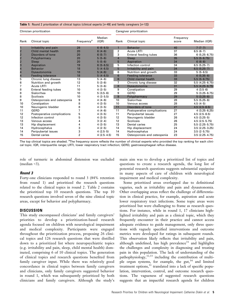#### Table 1: Round 2 prioritization of clinical topics (clinical experts  $[n=49]$  and family caregivers  $[n=12]$ )

| Clinician prioritization<br>Median<br>(IOR)<br>Clinical topic<br>Rank<br>Frequency <sup>a</sup> |                             |                |              | Caregiver prioritization |                             |                    |                    |
|-------------------------------------------------------------------------------------------------|-----------------------------|----------------|--------------|--------------------------|-----------------------------|--------------------|--------------------|
|                                                                                                 |                             |                |              | Rank                     | Clinical topic              | Frequency<br>score | Median (IQR)       |
| 1                                                                                               | Irritability and pain       | 28             | $6(6-6.5)$   | $\mathbf{1}$             | <b>Behavior</b>             | 40                 | $7(7-7)$           |
|                                                                                                 | Child mental health         | 20             | $6(4-6)$     | 2                        | <b>Acute LRTI</b>           | 37                 | $6.5(6-7)$         |
| $\begin{array}{c} 2 \\ 2 \\ 2 \end{array}$                                                      | Disorders of tone           | 20             | $6(5-7)$     | 3                        | Enteral feeding tubes       | 36                 | $6(5.25 - 6.75)$   |
|                                                                                                 | Polypharmacy                | 20             | $5(5-6)$     | $\overline{4}$           | Sleep                       | 35                 | $5.5(5-6.75)$      |
|                                                                                                 | Sleep                       | 20             | $5(5-6)$     | 5                        | Aspiration                  | 34                 | $6(6-6)$           |
|                                                                                                 | Aspiration                  | 19             | $6(5-6.5)$   | 5                        | Infection control           | 34                 | $6.5(5.25-7)$      |
| $\begin{array}{c}\n 2 \\ 3 \\ 4 \\ 4\n \end{array}$                                             | <b>Behavior</b>             | 18             | $5(4-6.5)$   | 5                        | Irritability and pain       | 34                 | $6.5(5.25-7)$      |
|                                                                                                 | Dysautonomia                | 18             | $5(4-6)$     | 6                        | Nutrition and growth        | 33                 | $5(5-6.5)$         |
|                                                                                                 | <b>Feeding tolerance</b>    | 18             | $5(4-6.5)$   | 6                        | Feeding tolerance           | 33                 | $6(5.35-6)$        |
| 5                                                                                               | Chronic lung disease        | 13             | $5(4-6)$     | 6                        | Child mental health         | 33                 | $5.5(5-6.75)$      |
| 6                                                                                               | Nutrition and growth        | 12             | $5(3-6)$     | $\overline{7}$           | Chronic lung disease        | 32                 | $5.5(4.25 - 6.75)$ |
| 7                                                                                               | <b>Acute LRTI</b>           | 11             | $5(3-6)$     | 8                        | Dysautonomia                | 31                 | $5.5(4.25 - 6.75)$ |
| 8                                                                                               | Enteral feeding tubes       | 10             | $4(3-5)$     | 9                        | Constipation                | 29                 | $4(3.5-6)$         |
| 8                                                                                               | Sialorrhea                  | 10             | $5(3.5-6)$   | 9                        | <b>GERD</b>                 | 29                 | $5(3.25 - 6.75)$   |
| 8                                                                                               | <b>Scoliosis</b>            | 10             | $4(3 - 5.5)$ | 9                        | Polypharmacy                | 29                 | $5(3.25-6)$        |
| 9                                                                                               | Osteoporosis and osteopenia | 9              | 4 $(4-6)$    | 10                       | Sialorrhea                  | 28                 | $5.5(5.25-6)$      |
| 10                                                                                              | Constipation                | 8              | $4(3-5)$     | 10                       | Venous access               | 28                 | $4.5(4-5)$         |
| 10                                                                                              | Neurogenic bladder          | 8              | $4(3-5)$     | 11                       | Disorders of tone           | 27                 | $4.5(2.5-6.5)$     |
| 11                                                                                              | GERD                        |                | $4(4-6)$     | 11                       | Postoperative complications | 27                 | $4(3.25 - 6.25)$   |
| 12                                                                                              | Postoperative complications | 5              | $4(3-5)$     | 11                       | Peripubertal issues         | 27                 | $4.5(2.5-6.5)$     |
| 12                                                                                              | Infection control           | 5              | $4(3-5)$     | 12                       | Neurogenic bladder          | 26                 | $4.5(3.25-5)$      |
| 13                                                                                              | Venous access               | 4              | $3(2-4)$     | 12                       | Scoliosis                   | 26                 | $4.5(2.5 - 5.75)$  |
| 13                                                                                              | Hip displacement            | 4              | $4(3-5)$     | 13                       | Dental caries               | 25                 | $5.5(2.25 - 5.75)$ |
| 14                                                                                              | Hydrocephalus               | 3              | $4(2-5)$     | 14                       | Hip displacement            | 24                 | $3.5(2.25 - 3.25)$ |
| 14                                                                                              | Peripubertal issues         | 3              | $4(2.5-5)$   | 14                       | Hydrocephalus               | 24                 | $3.5(2 - 5.75)$    |
| 15                                                                                              | Dental caries               | $\overline{2}$ | $4(2.5-4.5)$ | 15                       | Osteoporosis and osteopenia | 23                 | $3.5(2.25 - 4.75)$ |

The top clinical topics are shaded. <sup>a</sup>The frequency score reflects the number of clinical experts who provided the top ranking for each clinical topic. IQR, interquartile range; LRTI, lower respiratory tract infection; GERD, gastroesophageal reflux disease.

role of turmeric in abdominal distension was excluded (median  $\leq$ 3).

#### Round 3

Forty-one clinicians responded to round 3 (84% retention from round 1) and prioritized the research questions related to the clinical topics in round 2. Table 2 contains the prioritized top 10 research questions. The top 10 research questions involved seven of the nine clinical topic areas, except for behavior and polypharmacy.

#### **DISCUSSION**

This study encompassed clinicians' and family caregivers' priorities to develop a prioritization-based research agenda focused on children with neurological impairment and medical complexity. Participants were engaged throughout the prioritization process, proposing 26 clinical topics and 126 research questions that were distilled down to a prioritized list where neuropsychiatric topics (e.g. irritability and pain, sleep, child mental health) dominated, comprising 6 of 10 clinical topics. The generation of clinical topics and research questions benefited from family caregiver input. While there was relatively good concordance in clinical topics between family caregivers and clinicians, only family caregivers suggested behavior in round 1, which was subsequently prioritized by both clinicians and family caregivers. Although the study's main aim was to develop a prioritized list of topics and questions to create a research agenda, the long list of potential research questions suggests substantial equipoise in many aspects of care of children with neurological impairment and medical complexity.

Some prioritized areas overlapped due to definitional vagaries, such as irritability and pain and dysautonomia. Other overlapping areas reflect the challenge of differentiation in clinical practice, for example, aspiration and acute lower respiratory tract infections. Some topic areas were prioritized but were challenging to frame as research questions. For instance, while in round 1, 17 clinicians highlighted irritability and pain as a clinical topic, which they frequently encounter in their practice and cannot access adequate evidence to guide management, only three questions with vaguely specified interventions and outcome metrics were developed for ratings in subsequent rounds. This observation likely reflects that irritability and pain, although undefined, has high prevalence $31$  and highlights the challenges and complexity in diagnosing and treating pain in this population. The lack of understanding of the pathophysiology,<sup>32,33</sup> including the contribution of multiple organ systems, for example, the gut,  $34$  and limited treatment options,<sup>31</sup> translated into a lack of specific population, intervention, control, and outcome research questions. The vagueness of suggested research questions suggests that an impactful research agenda for children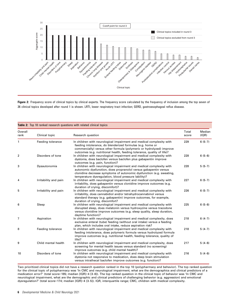

Figure 2: Frequency score of clinical topics by clinical experts. The frequency score calculated by the frequency of inclusion among the top seven of 26 clinical topics developed after round 1 is shown. LRTI, lower respiratory tract infection; GERD, gastroesophageal reflux disease.

| Table 2: Top 10 ranked research questions with related clinical topics |                       |                                                                                                                                                                                                                                                                                       |                |                 |  |  |  |  |
|------------------------------------------------------------------------|-----------------------|---------------------------------------------------------------------------------------------------------------------------------------------------------------------------------------------------------------------------------------------------------------------------------------|----------------|-----------------|--|--|--|--|
| Overall<br>rank                                                        | Clinical topic        | Research question                                                                                                                                                                                                                                                                     | Total<br>score | Median<br>(IOR) |  |  |  |  |
| 1                                                                      | Feeding tolerance     | In children with neurological impairment and medical complexity with<br>feeding intolerance, do blenderized formulas (e.g. home or<br>commercially) versus other formula (polymeric or hydrolyzed) improve<br>outcomes (e.g. nutritional health, feeding tolerance, quality of life)? | 229            | $6(5-7)$        |  |  |  |  |
| 2                                                                      | Disorders of tone     | In children with neurological impairment and medical complexity with<br>dystonia, does baclofen versus baclofen plus gabapentin improve<br>outcomes (e.g. pain, function)?                                                                                                            | 228            | $6(5-6)$        |  |  |  |  |
| 3                                                                      | Dysautonomia          | In children with neurological impairment and medical complexity with<br>autonomic dysfunction, does propranolol versus gabapentin versus<br>clonidine decrease symptoms of autonomic dysfunction (e.g. sweating,<br>temperature dysregulation, blood pressure lability)?              | 228            | $5(5-7)$        |  |  |  |  |
| 4                                                                      | Irritability and pain | In children with neurological impairment and medical complexity with<br>irritability, does gabapentin versus clonidine improve outcomes (e.g.<br>duration of crying, discomfort)?                                                                                                     | 227            | $6(5-7)$        |  |  |  |  |
| 5                                                                      | Irritability and pain | In children with neurological impairment and medical complexity with<br>irritability, does cannabidiol and/or tetrahydrocannabinol versus<br>standard therapy (e.g. gabapentin) improve outcomes, for example,<br>duration of crying, discomfort?                                     | 226            | $6(5-7)$        |  |  |  |  |
| 6                                                                      | Sleep                 | In children with neurological impairment and medical complexity with<br>disrupted sleep, does melatonin versus hydroxyzine versus trazodone<br>versus clonidine improve outcomes (e.g. sleep quality, sleep duration,<br>daytime function)?                                           | 225            | $6(5-6)$        |  |  |  |  |
| 7                                                                      | Aspiration            | In children with neurological impairment and medical complexity, does<br>exclusive enteral (tube) feeding (without oral intake) versus a feeding<br>plan, which includes oral intake, reduce aspiration risk?                                                                         | 218            | $6(4-7)$        |  |  |  |  |
| 8                                                                      | Feeding tolerance     | In children with neurological impairment and medical complexity with<br>feeding intolerance, does polymeric formula versus hydrolyzed formula<br>improve outcomes (e.g. nutritional health, feeding tolerance, quality of<br>life)?                                                   | 218            | $5(4-7)$        |  |  |  |  |
| 9                                                                      | Child mental health   | In children with neurological impairment and medical complexity, does<br>screening for mental health issues versus standard (no screening)<br>improve outcomes (e.g. child mental health)?                                                                                            | 217            | $5(4-6)$        |  |  |  |  |
| 10                                                                     | Disorders of tone     | In children with neurological impairment and medical complexity with<br>dystonia not responsive to medication, does deep brain stimulation<br>versus intrathecal baclofen improve outcomes (e.g. function)?                                                                           | 216            | $5(4-6)$        |  |  |  |  |

Two prioritized clinical topics did not have a research question ranked in the top 10 (polypharmacy and behavior). The top ranked question for the clinical topic of polypharmacy was 'In CMC and neurological impairment, what are the demographics and clinical predictors of a medication error?' (total score=185; median [IQR]=4 [3–6]). The top ranked question in the clinical topic of behavior was 'In CMC and neurological impairment, what are the demographic and clinical predictors of challenging behavior (e.g. aggression) and emotional dysregulation?' (total score=174; median [IQR]=4 [3–5]). IQR, interquartile range; CMC, children with medical complexity.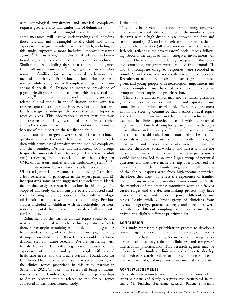with neurological impairment and medical complexity requires greater clarity and uniformity of definitions.

The development of meaningful research, including outcome measures, will involve understanding and including those relevant and meaningful to the child and family experience. Caregiver involvement in research, including in this study, supports a more inclusive, improved research agenda. $35$  In this study, the inclusion of behavior and emotional regulation is a result of family caregiver inclusion. Similar studies, including those that adhere to the James Lind Alliance framework,<sup>25</sup> highlight a known phenomenon: families prioritize psychosocial needs more than medical clinicians.<sup>36</sup> Professionals often prioritize basic science while caregivers will emphasize aspects of psychosocial health.<sup>21,37</sup> Despite an increased prevalence of psychiatric diagnoses among children with intellectual disabilities,<sup>38</sup> the clinician expert panel infrequently proposed related clinical topics in the elicitation phase with few research questions suggested. However, both clinicians and family caregivers subsequently prioritized both topics as research areas. This observation suggests that clinicians and researchers initially overlooked these clinical topics and yet recognize their inherent importance, presumably because of the impact on the family and child.

Clinicians and caregivers were asked to focus on clinical questions and not the entire healthcare experience of children with neurological impairment and medical complexity and their families. Despite this instruction, both groups frequently enumerated such topics (e.g. transition to adult care), reflecting the substantial impact that caring for CMC can have on families and the healthcare system.<sup>39,40</sup>

This international prioritization study incorporated the UK-based James Lind Alliance study including (1) inviting a lead researcher to participate in the expert panel and (2) incorporating some of the suggested research topics identified in that study as research questions in this study. The scope of this study differs from previously conducted studies by focusing on a subgroup of children with neurological impairment, those with medical complexity. Previous studies included all children with neurodisability or neurodevelopmental disorders or individuals of all ages with cerebral palsy.

Refinement of the various clinical topics could be the next step for clinical research in this population of children. For example, irritability is an undefined neologism. A better understanding of this clinical phenotype, including its impact on children and their families would be a foundational step for future research. We are partnering with Family Voices, a family-led organization focused on the experience of children and young people with special healthcare needs and the Lucile Packard Foundation for Children's Health to deliver a seminar series focusing on the clinical topics prioritized in this study starting in September 2021. This seminar series will bring clinicians, researchers, and families together to facilitate partnerships to design research studies related to the clinical topics addressed in this prioritization study.

## Limitations

This study has several limitations. First, family caregiver involvement was valuable but limited in the number of participants with a high dropout rate between the first and second round (50%), and their relative homogenous demographic characteristics (all were mothers from Canada or Ireland), reflecting the investigators' social media following. Second, the depth of family caregiver involvement was limited. There was only one family caregiver on the steering committee, caregivers were excluded from rounds 2b and 3, incomplete caregiver responses were recorded in round 2, and there was no youth voice in the process. Recruitment of a more diverse and larger group of caregivers and young people with neurological impairment and medical complexity may have led to a more representative group of clinical topics for prioritization.

Third, some clinical topics may not be indistinguishable (e.g. lower respiratory tract infection and aspiration) and some clinical questions overlapped. There was agreement within the steering committee that distinct clinical topics and related questions may not be mutually exclusive. For example, in clinical practice, a child with neurological impairment and medical complexity can present with respiratory illness and clinically differentiating aspiration from infection can be difficult. Fourth, non-medical health professionals who provide care for children with neurological impairment and medical complexity were excluded, for example, therapists, social workers, and nurses who are not nurse practitioners. The involvement of these professionals would likely have led to an even larger group of potential questions and may have made arriving at a prioritized list more difficult. Fifth, all family caregivers and all but one of the clinical experts were from high-income countries; therefore, they may not reflect the experience of families and clinicians in low- and middle-income countries. Sixth, the members of the steering committee were at different career stages and the decision-making process may have introduced known and unknown power differentials and biases. Lastly, while a broad group of clinicians from diverse geography, practice settings, and specialties were recruited, a different sampling of clinicians may have arrived at a slightly different prioritized list.

#### **CONCLUSION**

This study represents a prioritization process to develop a research agenda about children with neurological impairment and medical complexity focused on addressing everyday clinical questions, reflecting clinicians' and caregivers' international prioritization. This research agenda may be informative for funders, clinicians, and others to develop and conduct research projects to improve outcomes in children with neurological impairment and medical complexity.

# ACKNOWLEDGEMENTS

The study team acknowledges the time and contribution of the expert clinicians and family caregivers who participated in the study. Ms Francine Buchanan, Research Patient & Family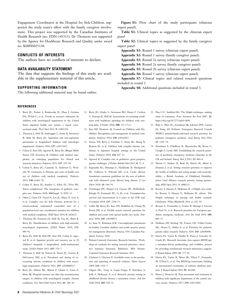Engagement Coordinator at the Hospital for Sick Children, supported the study team's effort with the family caregiver involvement. This project was supported by the Canadian Institutes of Health Research (no. FDN-143315). Dr Thomson was supported by the Agency for Healthcare Research and Quality under award no. K08HS025138.

# CONFLICTS OF INTERESTS

The authors have no conflicts of interests to declare.

#### DATA AVAILABILITY STATEMENT

The data that supports the findings of this study are available in the supplementary material of this article.

#### SUPPORTING INFORMATION

The following additional material may be found online:

Figure S1: Flow chart of the study participants (clinician expert panel).

Table S1: Clinical topics as suggested by the clinician expert panel

Table S2: Clinical topics as suggested by the family caregiver expert panel

Appendix S1: Round 1 survey (clinician expert panel).

Appendix S2: Round 1 survey (family caregiver panel).

Appendix S3: Round 2a survey (clinician expert panel).

Appendix S4: Round 2a survey (family caregiver panel).

Appendix S5: Round 2b survey (clinician expert panel).

Appendix S6: Round 3 survey (clinician expert panel).

Appendix S7: Clinical topics and related research questions included in round 2.

Appendix S8: Additional questions included in round 3.

#### **REFERENCES**

- 1. Berry JG, Poduri A, Bonkowsky JL, Zhou J, Graham DA, Welch C, et al. Trends in resource utilization by children with neurological impairment in the United States inpatient health care system: a repeat crosssectional study. PLoS Med 2012; 9: e1001158.
- 2. Thomson J, Hall M, Ambroggio L, Stone B, Srivastava R, Shah SS, Berry JG. Aspiration and non-aspiration pneumonia in hospitalized children with neurologic impairment. Pediatrics 2016; 137: e20151612.
- 3. Cohen E, Kuo DZ, Agrawal R, Berry JG, Bhagat SKM, Simon TD, Srivastava R. Children with medical complexity: an emerging population for clinical and research initiatives. Pediatrics 2011; 127: 529–38.
- 4. Cohen E, Berry JG, Camacho X, Anderson G, Wodchis W, Guttmann A. Patterns and costs of health care use of children with medical complexity. Pediatrics 2012; 130: e1463–70.
- 5. Cohen E, Berry JG, Sanders L, Schor EL, Wise PH. Status complexicus? The emergence of pediatric complex care. Pediatrics 2018; 141(Suppl. 3): S202–11.
- 6. Orkin J, Chan CY, Fayed N, Lin JL, Major N, Lim A, et al. Complex care for kids Ontario: protocol for a mixed-methods randomised controlled trial of a population-level care coordination initiative for children with medical complexity. BMJ Open 2019; 9: e028121.
- 7. Thomson JE, Feinstein JA, Hall M, Gay JC, Butts B, Berry JG. Identification of children with high-intensity neurological impairment. JAMA Pediatr 2019; 173: 989–91.
- 8. Berry JG, Hall M, Hall DE, Kuo DZ, Cohen E, Agrawal R, et al. Inpatient growth and resource use in 28 children's hospitals: a longitudinal, multi-institutional study. *JAMA Pediatr* 2013: 167: 170-7.
- 9. Thomson J, Hall M, Nelson K, Flores JC, Garrity B, DeCourcey DD, et al. Prevalence and timing of cooccurring chronic conditions in children with neurologic impairment. Pediatrics 2021; 147: e2020009217.
- 10. Berry JG, Difazio RL, Melvin P, Glader L, Casto E, Shore BJ. Hospital resource use after hip reconstruction surgery in children with neurological complex chronic conditions. Dev Med Child Neurol 2021; 63: 204–10.
- 11. Berry JG, Glader L, Stevenson RD, Hasan F, Crofton C, Hussain K, Hall M. Associations of coexisting conditions with healthcare spending for children with cerebral palsy. *J Pediatr* 2018; 200: 111-17.e1.
- 12. Kuo DZ, Houtrow AJ, Council on Children with Disabilities. Recognition and management of medical complexity. Pediatrics 2016; 138: e20163021.
- 13. Simon TD, Berry J, Feudtner C, Stone BL, Sheng X, Bratton SL, et al. Children with complex chronic conditions in inpatient hospital settings in the United States. Pediatrics 2010; 126: 647–55.
- 14. Agrawal R. Complex care in pediatrics: great progress, greater challenges. *J Pediatr Rehabil Med* 2015; 8: 71-4.
- 15. Kapnadak SG, Dimango E, Hadjiliadis D, Hempstead SE, Tallarico E, Pilewski JM, et al. Cystic fibrosis foundation consensus guidelines for the care of individuals with advanced cystic fibrosis lung disease.  $\mathcal J$  Cyst Fibros 2020; 19: 344–54.
- 16. Newburger JW, Sleeper LA, Gaynor JW, Hollenbeck-Pringle D, Frommelt PC, Li JS, et al. Transplant-free survival and interventions at 6 years in the SVR trial. Circulation 2018; 137: 2246–53.
- 17. Coller RJ, Berry JG, Kuo DZ, Kuhlthau K, Chung PJ, Perrin JM, et al. Health system research priorities for children and youth with special health care needs. Pediatrics 2020; 145: e20190673.
- 18. Le Saux N, Robinson JLR. Uncomplicated pneumonia in healthy Canadian children and youth: practice points for management [Internet]. Ottawa, ON: Canadian Paediatric Society; 2018.
- 19. Patient-Centered Outcomes Research Institute. Workshop on methods for setting research priorities: executive summary [Internet]. Baltimore, MD: Patient-Centered Outcomes Research Institute; 2012.
- 20. Chalmers I, Glasziou P. Avoidable waste in the production and reporting of research evidence. Obstet Gynecol 2009; 114: 1341–5.
- 21. Odgers HL, Tong A, Lopez-Vargas P, Davidson A, Jaffe A, McKenzie A, et al. Research priority setting in childhood chronic disease: a systematic review. Arch Dis Child 2018; 103: 942–51.
- 22. Hsu C-C, Sandford BA. The Delphi technique: making sense of consensus. *Pract Asessment Res Eval* 2007; 12: <https://doi.org/10.7275/pdz9-th90>.
- 23. Bialy L, Plint AC, Freedman SB, Johnson DW, Curran JA, Stang AS. Pediatric Emergency Research Canada (PERC): patient/family-informed research priorities for pediatric emergency medicine. Acad Emerg Med 2018; 25: 1365–74.
- 24. Hartshorn S, O'Sullivan R, Maconochie IK, Bevan C, Cleugh F, Lyttle MD. Establishing the research priorities of paediatric emergency medicine clinicians in the UK and Ireland. Emerg Med  $\widetilde{J}$  2015; 32: 864-8.
- 25. Morris C, Simkiss D, Busk M, Morris M, Allard A, Denness J, et al. Setting research priorities to improve the health of children and young people with neurodisability: a British Academy of Childhood Disability-James Lind Alliance research priority setting partnership. BMJ Open 2015; 5: e006233.
- 26. Keeney S, Hasson F, McKenna H. e-Delphi case study. In: Keeney S, Hasson F, McKenna H, editors. The Delphi technique in nursing and health research. Chichester: Wiley-Blackwell; 2011. p. 142–50.
- 27. Bressan S, Titomanlio L, Gomez B, Mintegi S, Gervaix A, Parri N, et al. Research priorities for European paediatric emergency medicine. Arch Dis Child 2019; 104: 869–73.
- 28. Hoffman JM, Keeling NJ, Forrest CB, Tubbs-Cooley HL, Moore E, Oehler E, et al. Priorities for pediatric patient safety research. Pediatrics 2019; 143: e20180496.
- 29. Harris PA, Taylor R, Thielke R, Payne J, Gonzalez N, Conde JG. Research electronic data capture (REDCap): a metadata-driven methodology and workflow process for providing translational research informatics support. J Biomed Inform 2009; 42: 377–81.
- 30. Harris PA, Taylor R, Minor BL, Elliott V, Fernandez M, O'Neal L, et al. The REDCap consortium: building an international community of software platform partners. J Biomed Inform 2019; 95: 103208.
- 31. Hauer J, Houtrow AJ. Pain assessment and treatment in children with significant impairment of the central nervous system. Pediatrics 2017; 139: e20171002.